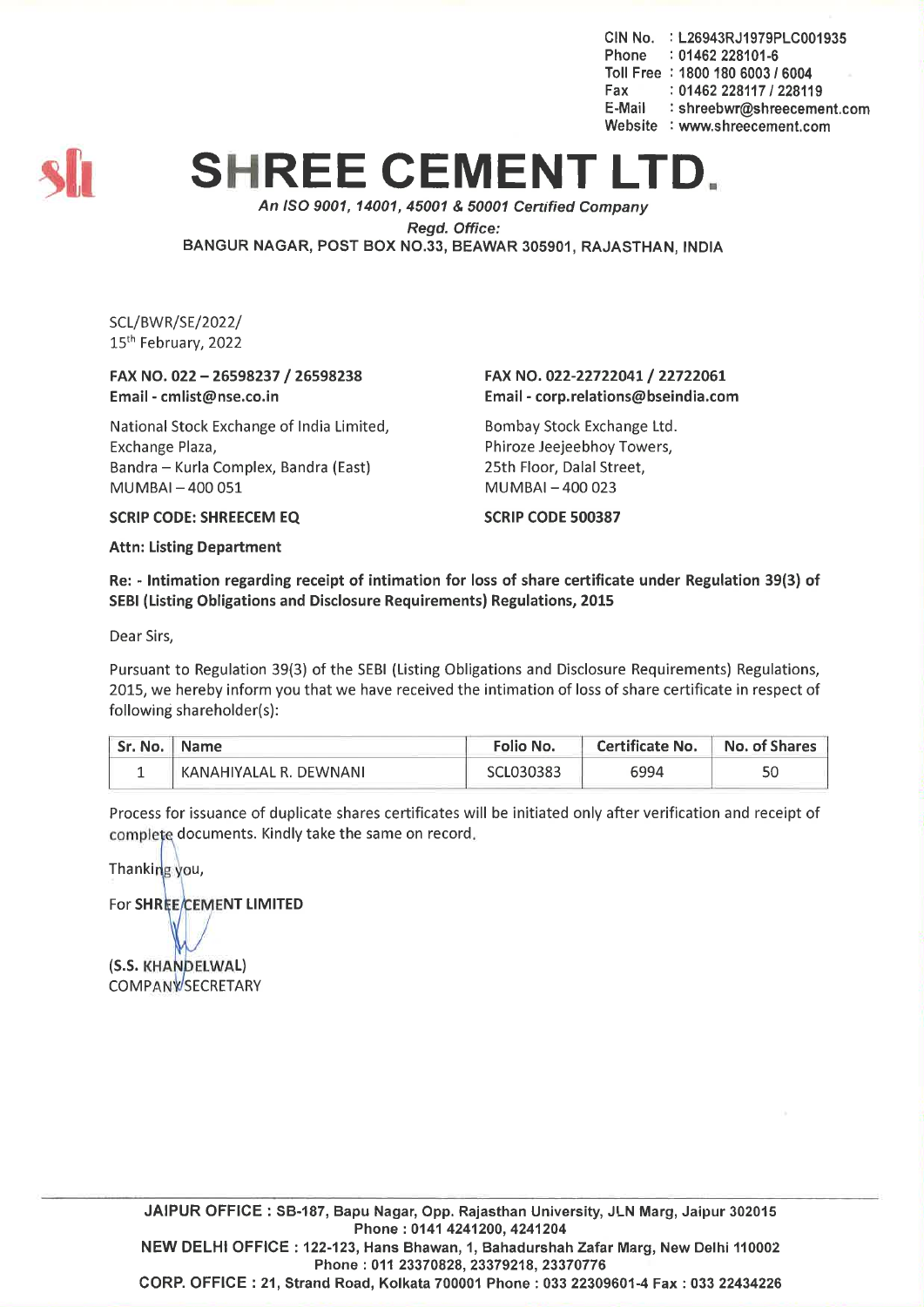CIN No. : L26943RJ1979PLC001935 Phone : 01462 228101-6 Toll Free : 1800 180 *60031 6004* Fax: *01462228117/228119* E-Mail : shreebwr@shreecement.com Website : www.shreecement.com



## **SHREE CEMENT LT**

*An ISO 9001, 14001,45001* & *50001 Cenified Company*

*Regd. Office:*

BANGUR NAGAR, POST BOX NO.33, BEAWAR 305901, RAJASTHAN, INDIA

SCL/BWR/SE/2022/ 15th February, 2022

FAX NO. 022 - 26598237 / 26598238 Email -cmlist@nse.co.in

National Stock Exchange of India Limited, Exchange Plaza, Bandra - Kurla Complex, Bandra (East) MUMBAI-400 051

## FAX NO. 022-22722041/ 22722061 Email-corp.relations@bseindia.com

Bombay Stock Exchange Ltd. Phiroze Jeejeebhoy Towers, 25th Floor, Dalal Street, MUMBAI-400 023

SCRIP CODE 500387

SCRIP CODE: SHREECEM EQ

Attn: Listing Department

Re: - Intimation regarding receipt of intimation for loss of share certificate under Regulation 39(3) of SEBI (Listing Obligations and Disclosure Requirements) Regulations, 2015

Dear Sirs,

Pursuant to Regulation 39(3) of the SEBI (Listing Obligations and Disclosure Requirements) Regulations, 2015, we hereby inform you that we have received the intimation of loss of share certificate in respect of following shareholder(s):

| Sr. No.   Name |                        | Folio No. | <b>Certificate No.</b> | No. of Shares |
|----------------|------------------------|-----------|------------------------|---------------|
|                | KANAHIYALAL R. DEWNANI | SCL030383 | 6994                   |               |

Process for issuance of duplicate shares certificates will be initiated only after verification and receipt of complete documents. Kindly take the same on record.

Thanking you,

For SHREE/CEMENT LIMITED

(S.S. KHANDELWAL) **COMPANYSECRETARY**